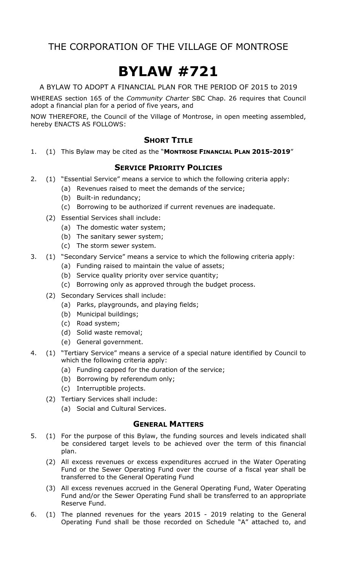# **BYLAW #721**

A BYLAW TO ADOPT A FINANCIAL PLAN FOR THE PERIOD OF 2015 to 2019

WHEREAS section 165 of the *Community Charter* SBC Chap. 26 requires that Council adopt a financial plan for a period of five years, and

NOW THEREFORE, the Council of the Village of Montrose, in open meeting assembled, hereby ENACTS AS FOLLOWS:

### **SHORT TITLE**

1. (1) This Bylaw may be cited as the "**MONTROSE FINANCIAL PLAN 2015-2019**"

### **SERVICE PRIORITY POLICIES**

- 2. (1) "Essential Service" means a service to which the following criteria apply:
	- (a) Revenues raised to meet the demands of the service;
	- (b) Built-in redundancy;
	- (c) Borrowing to be authorized if current revenues are inadequate.
	- (2) Essential Services shall include:
		- (a) The domestic water system;
		- (b) The sanitary sewer system;
		- (c) The storm sewer system.
- 3. (1) "Secondary Service" means a service to which the following criteria apply:
	- (a) Funding raised to maintain the value of assets;
	- (b) Service quality priority over service quantity;
	- (c) Borrowing only as approved through the budget process.
	- (2) Secondary Services shall include:
		- (a) Parks, playgrounds, and playing fields;
		- (b) Municipal buildings;
		- (c) Road system;
		- (d) Solid waste removal;
		- (e) General government.
- 4. (1) "Tertiary Service" means a service of a special nature identified by Council to which the following criteria apply:
	- (a) Funding capped for the duration of the service;
	- (b) Borrowing by referendum only;
	- (c) Interruptible projects.
	- (2) Tertiary Services shall include:
		- (a) Social and Cultural Services.

### **GENERAL MATTERS**

- 5. (1) For the purpose of this Bylaw, the funding sources and levels indicated shall be considered target levels to be achieved over the term of this financial plan.
	- (2) All excess revenues or excess expenditures accrued in the Water Operating Fund or the Sewer Operating Fund over the course of a fiscal year shall be transferred to the General Operating Fund
	- (3) All excess revenues accrued in the General Operating Fund, Water Operating Fund and/or the Sewer Operating Fund shall be transferred to an appropriate Reserve Fund.
- 6. (1) The planned revenues for the years 2015 2019 relating to the General Operating Fund shall be those recorded on Schedule "A" attached to, and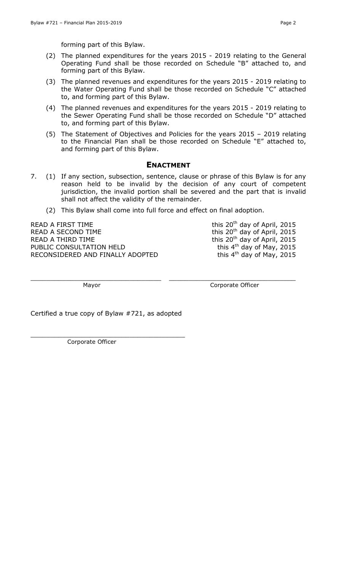forming part of this Bylaw.

- (2) The planned expenditures for the years 2015 2019 relating to the General Operating Fund shall be those recorded on Schedule "B" attached to, and forming part of this Bylaw.
- (3) The planned revenues and expenditures for the years 2015 2019 relating to the Water Operating Fund shall be those recorded on Schedule "C" attached to, and forming part of this Bylaw.
- (4) The planned revenues and expenditures for the years 2015 2019 relating to the Sewer Operating Fund shall be those recorded on Schedule "D" attached to, and forming part of this Bylaw.
- (5) The Statement of Objectives and Policies for the years 2015 2019 relating to the Financial Plan shall be those recorded on Schedule "E" attached to, and forming part of this Bylaw.

#### **ENACTMENT**

- 7. (1) If any section, subsection, sentence, clause or phrase of this Bylaw is for any reason held to be invalid by the decision of any court of competent jurisdiction, the invalid portion shall be severed and the part that is invalid shall not affect the validity of the remainder.
	- (2) This Bylaw shall come into full force and effect on final adoption.

 $\_$  , and the contribution of the contribution of  $\_$  , and  $\_$  , and  $\_$  , and  $\_$  , and  $\_$  , and  $\_$  , and  $\_$ 

READ A FIRST TIME READ A SECOND TIME  $\frac{1}{20}$  this 20<sup>th</sup> day of April, 2015 READ A THIRD TIME  $R$  and  $R$  this 20<sup>th</sup> day of April, 2015 PUBLIC CONSULTATION HELD RECONSIDERED AND FINALLY ADOPTED

this 20<sup>th</sup> day of April, 2015 this 4<sup>th</sup> day of May, 2015 this  $4<sup>th</sup>$  day of May, 2015

Mayor **Mayor** Corporate Officer

Certified a true copy of Bylaw #721, as adopted

\_\_\_\_\_\_\_\_\_\_\_\_\_\_\_\_\_\_\_\_\_\_\_\_\_\_\_\_\_\_\_\_\_\_\_\_\_\_\_

Corporate Officer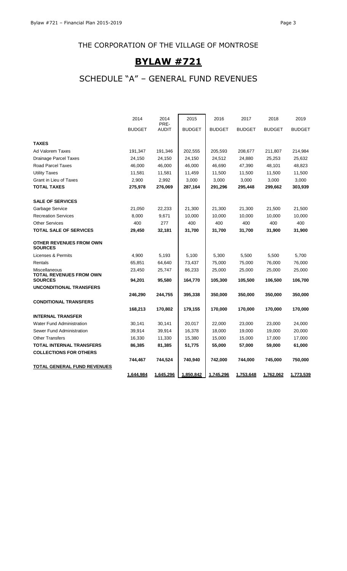# **BYLAW #721**

# SCHEDULE "A" – GENERAL FUND REVENUES

 $\overline{\phantom{0}}$ 

|                                                  | 2014             | 2014                 | 2015          | 2016          | 2017          | 2018          | 2019          |
|--------------------------------------------------|------------------|----------------------|---------------|---------------|---------------|---------------|---------------|
|                                                  | <b>BUDGET</b>    | PRE-<br><b>AUDIT</b> | <b>BUDGET</b> | <b>BUDGET</b> | <b>BUDGET</b> | <b>BUDGET</b> | <b>BUDGET</b> |
| <b>TAXES</b>                                     |                  |                      |               |               |               |               |               |
| Ad Valorem Taxes                                 | 191,347          | 191,346              | 202,555       | 205,593       | 208,677       | 211,807       | 214,984       |
| <b>Drainage Parcel Taxes</b>                     | 24,150           | 24,150               | 24,150        | 24,512        | 24,880        | 25,253        | 25,632        |
| <b>Road Parcel Taxes</b>                         | 46,000           | 46,000               | 46,000        | 46,690        | 47,390        | 48,101        | 48,823        |
| <b>Utility Taxes</b>                             | 11,581           | 11,581               | 11,459        | 11,500        | 11,500        | 11,500        | 11,500        |
| Grant in Lieu of Taxes                           | 2,900            | 2,992                | 3,000         | 3,000         | 3,000         | 3,000         | 3,000         |
| <b>TOTAL TAXES</b>                               | 275,978          | 276,069              | 287,164       | 291,296       | 295,448       | 299,662       | 303,939       |
| <b>SALE OF SERVICES</b>                          |                  |                      |               |               |               |               |               |
| Garbage Service                                  | 21,050           | 22,233               | 21,300        | 21,300        | 21,300        | 21,500        | 21,500        |
| <b>Recreation Services</b>                       | 8,000            | 9,671                | 10,000        | 10,000        | 10,000        | 10,000        | 10,000        |
| <b>Other Services</b>                            | 400              | 277                  | 400           | 400           | 400           | 400           | 400           |
| <b>TOTAL SALE OF SERVICES</b>                    | 29,450           | 32,181               | 31,700        | 31,700        | 31,700        | 31,900        | 31,900        |
| <b>OTHER REVENUES FROM OWN</b><br><b>SOURCES</b> |                  |                      |               |               |               |               |               |
| Licenses & Permits                               | 4,900            | 5,193                | 5,100         | 5,300         | 5,500         | 5,500         | 5,700         |
| Rentals                                          | 65,851           | 64,640               | 73,437        | 75,000        | 75,000        | 76,000        | 76,000        |
| Miscellaneous<br>TOTAL REVENUES FROM OWN         | 23,450           | 25,747               | 86,233        | 25,000        | 25,000        | 25,000        | 25,000        |
| <b>SOURCES</b>                                   | 94,201           | 95,580               | 164,770       | 105,300       | 105,500       | 106,500       | 106,700       |
| <b>UNCONDITIONAL TRANSFERS</b>                   |                  |                      |               |               |               |               |               |
|                                                  | 246,290          | 244,755              | 395,338       | 350,000       | 350,000       | 350,000       | 350,000       |
| <b>CONDITIONAL TRANSFERS</b>                     |                  | 170,802              |               | 170,000       | 170,000       | 170,000       | 170,000       |
| <b>INTERNAL TRANSFER</b>                         | 168,213          |                      | 179,155       |               |               |               |               |
| <b>Water Fund Administration</b>                 |                  |                      | 20,017        | 22,000        | 23,000        | 23,000        | 24,000        |
| Sewer Fund Administration                        | 30,141<br>39,914 | 30,141               |               | 18,000        | 19,000        |               |               |
| <b>Other Transfers</b>                           |                  | 39,914               | 16,378        |               |               | 19,000        | 20,000        |
|                                                  | 16,330           | 11,330               | 15,380        | 15,000        | 15,000        | 17,000        | 17,000        |
| TOTAL INTERNAL TRANSFERS                         | 86,385           | 81,385               | 51,775        | 55,000        | 57,000        | 59,000        | 61,000        |
| <b>COLLECTIONS FOR OTHERS</b>                    |                  |                      |               |               |               |               |               |
|                                                  | 744,467          | 744,524              | 740,940       | 742,000       | 744,000       | 745,000       | 750,000       |
| <b>TOTAL GENERAL FUND REVENUES</b>               |                  |                      |               |               |               |               |               |
|                                                  | 1,644,984        | 1,645,296            | 1,850,842     | 1,745,296     | 1,753,648     | 1,762,062     | 1,773,539     |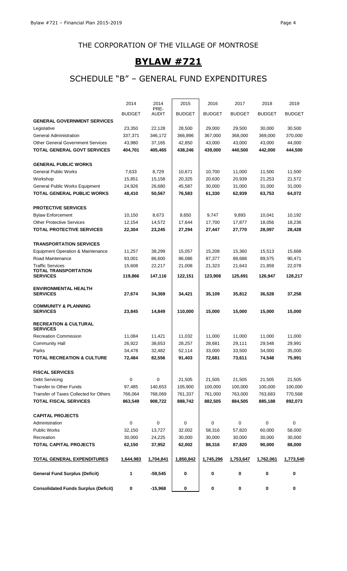# **BYLAW #721**

# SCHEDULE "B" – GENERAL FUND EXPENDITURES

| <b>Consolidated Funds Surplus (Deficit)</b>         | 0             | $-15,968$            | 0             | 0             | $\pmb{0}$     | $\bf{0}$      | 0             |
|-----------------------------------------------------|---------------|----------------------|---------------|---------------|---------------|---------------|---------------|
| <b>General Fund Surplus (Deficit)</b>               | 1             | $-59,545$            | 0             | 0             | 0             | 0             | 0             |
| <b>TOTAL GENERAL EXPENDITURES</b>                   | 1,644,983     | 1,704,841            | 1,850,842     | 1,745,296     | 1,753,647     | 1,762,061     | 1,773,540     |
| <b>TOTAL CAPITAL PROJECTS</b>                       | 62,150        | 37,952               | 62,002        | 88,316        | 87,820        | 90,000        | 88,000        |
| Recreation                                          | 30,000        | 24,225               | 30,000        | 30,000        | 30,000        | 30,000        | 30,000        |
| Public Works                                        | 32,150        | 13,727               | 32,002        | 58,316        | 57,820        | 60,000        | 58,000        |
| Administration                                      | 0             | 0                    | 0             | 0             | $\mathbf 0$   | 0             | 0             |
| <b>CAPITAL PROJECTS</b>                             |               |                      |               |               |               |               |               |
| <b>TOTAL FISCAL SERVICES</b>                        | 863,549       | 908,722              | 888,742       | 882,505       | 884,505       | 885,188       | 892,073       |
| Transfer of Taxes Collected for Others              | 766,064       | 768,069              | 761,337       | 761,000       | 763,000       | 763,683       | 770,568       |
| Transfer to Other Funds                             | 97,485        | 140,653              | 105,900       | 100,000       | 100,000       | 100,000       | 100,000       |
| Debt Servicing                                      | 0             | 0                    | 21,505        | 21,505        | 21,505        | 21,505        | 21,505        |
| <b>FISCAL SERVICES</b>                              |               |                      |               |               |               |               |               |
| <b>TOTAL RECREATION &amp; CULTURE</b>               | 72,484        | 82,556               | 91,403        | 72,681        | 73,611        | 74,548        | 75,991        |
| Parks                                               | 34,478        | 32,482               | 52,114        | 33,000        | 33,500        | 34,000        | 35,000        |
| <b>Community Hall</b>                               | 26,922        | 38,653               | 28,257        | 28,681        | 29,111        | 29,548        | 29,991        |
| <b>Recreation Commission</b>                        | 11,084        | 11,421               | 11,032        | 11,000        | 11,000        | 11,000        | 11,000        |
| <b>RECREATION &amp; CULTURAL</b><br><b>SERVICES</b> |               |                      |               |               |               |               |               |
| <b>COMMUNITY &amp; PLANNING</b><br><b>SERVICES</b>  | 23,845        | 14,849               | 110,000       | 15,000        | 15,000        | 15,000        | 15,000        |
| <b>ENVIRONMENTAL HEALTH</b><br><b>SERVICES</b>      | 27,674        | 34,369               | 34,421        | 35,109        | 35,812        | 36,528        | 37,258        |
| TOTAL TRANSPORTATION<br><b>SERVICES</b>             | 119,866       | 147,116              | 122,151       | 123,908       | 125,691       | 126,947       | 128,217       |
| <b>Traffic Services</b>                             | 15,608        | 22,217               | 21,008        | 21,323        | 21,643        | 21,859        | 22,078        |
| Road Maintenance                                    | 93,001        | 86,600               | 86,086        | 87,377        | 88,688        | 89,575        | 90,471        |
| Equipment Operation & Maintenance                   | 11,257        | 38,299               | 15,057        | 15,208        | 15,360        | 15,513        | 15,668        |
| <b>TRANSPORTATION SERVICES</b>                      |               |                      |               |               |               |               |               |
| <b>TOTAL PROTECTIVE SERVICES</b>                    | 22,304        | 23,245               | 27,294        | 27,447        | 27,770        | 28,097        | 28,428        |
| <b>Other Protective Services</b>                    | 12,154        | 14,572               | 17,644        | 17,700        | 17,877        | 18,056        | 18,236        |
| <b>Bylaw Enforcement</b>                            | 10,150        | 8,673                | 9,650         | 9,747         | 9,893         | 10,041        | 10,192        |
| <b>PROTECTIVE SERVICES</b>                          |               |                      |               |               |               |               |               |
| <b>TOTAL GENERAL PUBLIC WORKS</b>                   | 48,410        | 50,567               | 76,583        | 61,330        | 62,939        | 63,753        | 64,072        |
| General Public Works Equipment                      | 24,926        | 26,680               | 45,587        | 30,000        | 31,000        | 31,000        | 31,000        |
| Workshop                                            | 15,851        | 15,158               | 20,325        | 20,630        | 20,939        | 21,253        | 21,572        |
| <b>General Public Works</b>                         | 7,633         | 8,729                | 10,671        | 10,700        | 11,000        | 11,500        | 11,500        |
| <b>GENERAL PUBLIC WORKS</b>                         |               |                      |               |               |               |               |               |
| <b>TOTAL GENERAL GOVT SERVICES</b>                  | 404,701       | 405,465              | 438,246       | 439,000       | 440,500       | 442,000       | 444,500       |
| <b>Other General Government Services</b>            | 43,980        | 37,165               | 42,850        | 43,000        | 43,000        | 43,000        | 44,000        |
| <b>General Administration</b>                       | 337,371       | 346,172              | 366,896       | 367,000       | 368,000       | 369,000       | 370,000       |
| Legislative                                         | 23,350        | 22,128               | 28,500        | 29,000        | 29,500        | 30,000        | 30,500        |
| <b>GENERAL GOVERNMENT SERVICES</b>                  |               |                      |               |               |               |               |               |
|                                                     | <b>BUDGET</b> | PRE-<br><b>AUDIT</b> | <b>BUDGET</b> | <b>BUDGET</b> | <b>BUDGET</b> | <b>BUDGET</b> | <b>BUDGET</b> |
|                                                     | 2014          | 2014                 | 2015          | 2016          | 2017          | 2018          | 2019          |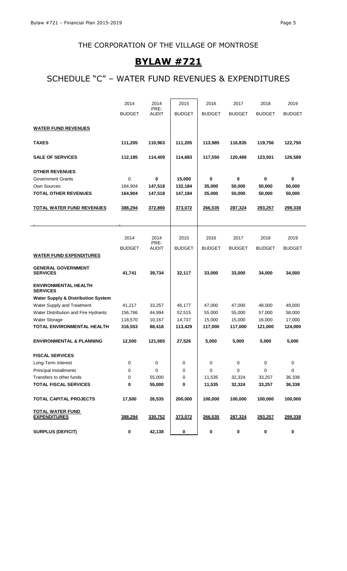# **BYLAW #721**

# SCHEDULE "C" – WATER FUND REVENUES & EXPENDITURES

 $\overline{\phantom{0}}$ 

|                                                | 2014          | 2014                 | 2015          | 2016          | 2017          | 2018          | 2019          |
|------------------------------------------------|---------------|----------------------|---------------|---------------|---------------|---------------|---------------|
|                                                | <b>BUDGET</b> | PRE-<br><b>AUDIT</b> | <b>BUDGET</b> | <b>BUDGET</b> | <b>BUDGET</b> | <b>BUDGET</b> | <b>BUDGET</b> |
| <b>WATER FUND REVENUES</b>                     |               |                      |               |               |               |               |               |
|                                                |               |                      |               |               |               |               |               |
| <b>TAXES</b>                                   | 111,205       | 110,963              | 111,205       | 113,985       | 116,835       | 119,756       | 122,750       |
| <b>SALE OF SERVICES</b>                        | 112,185       | 114,409              | 114,683       | 117,550       | 120,489       | 123,501       | 126,589       |
| <b>OTHER REVENUES</b>                          |               |                      |               |               |               |               |               |
| <b>Government Grants</b>                       | 0             | $\bf{0}$             | 15,000        | 0             | $\bf{0}$      | 0             | 0             |
| Own Sources                                    | 164,904       | 147,518              | 132,184       | 35,000        | 50,000        | 50,000        | 50,000        |
| <b>TOTAL OTHER REVENUES</b>                    | 164,904       | 147,518              | 147,184       | 35,000        | 50,000        | 50,000        | 50,000        |
| <b>TOTAL WATER FUND REVENUES</b>               | 388,294       | 372,890              | 373,072       | 266,535       | 287,324       | 293,257       | 299,338       |
|                                                |               |                      |               |               |               |               |               |
|                                                |               |                      |               |               |               |               |               |
|                                                | 2014          | 2014                 | 2015          | 2016          | 2017          | 2018          | 2019          |
|                                                | <b>BUDGET</b> | PRE-<br><b>AUDIT</b> | <b>BUDGET</b> | <b>BUDGET</b> | <b>BUDGET</b> | <b>BUDGET</b> | <b>BUDGET</b> |
| <b>WATER FUND EXPENDITURES</b>                 |               |                      |               |               |               |               |               |
| <b>GENERAL GOVERNMENT</b><br><b>SERVICES</b>   | 41,741        | 39,734               | 32,117        | 33,000        | 33,000        | 34,000        | 34,000        |
| <b>ENVIRONMENTAL HEALTH</b><br><b>SERVICES</b> |               |                      |               |               |               |               |               |
| <b>Water Supply &amp; Distribution System</b>  |               |                      |               |               |               |               |               |
| Water Supply and Treatment                     | 41,217        | 33,257               | 46,177        | 47,000        | 47,000        | 48,000        | 49,000        |
| Water Distribution and Fire Hydrants           | 156,766       | 44,994               | 52,515        | 55,000        | 55,000        | 57,000        | 58,000        |
| Water Storage                                  | 118,570       | 10,167               | 14,737        | 15,000        | 15,000        | 16,000        | 17,000        |
| TOTAL ENVIRONMENTAL HEALTH                     | 316,553       | 88,418               | 113,429       | 117,000       | 117,000       | 121,000       | 124,000       |
| <b>ENVIRONMENTAL &amp; PLANNING</b>            | 12,500        | 121,065              | 27,526        | 5,000         | 5,000         | 5,000         | 5,000         |
| <b>FISCAL SERVICES</b>                         |               |                      |               |               |               |               |               |
| Long-Term Interest                             | 0             | 0                    | 0             | 0             | 0             | 0             | 0             |
| Principal Installments                         | 0             | 0                    | 0             | 0             | 0             | 0             | 0             |
| Transfers to other funds                       | 0             | 55,000               | 0             | 11,535        | 32,324        | 33,257        | 36,338        |
| <b>TOTAL FISCAL SERVICES</b>                   | 0             | 55,000               | 0             | 11,535        | 32,324        | 33,257        | 36,338        |
| <b>TOTAL CAPITAL PROJECTS</b>                  | 17,500        | 26,535               | 200,000       | 100,000       | 100,000       | 100,000       | 100,000       |
| <b>TOTAL WATER FUND</b><br><b>EXPENDITURES</b> | 388,294       | 330,752              | 373,072       | 266,535       | 287,324       | 293,257       | 299,338       |
| <b>SURPLUS (DEFICIT)</b>                       | 0             | 42,138               | $\bf{0}$      | 0             | 0             | 0             | 0             |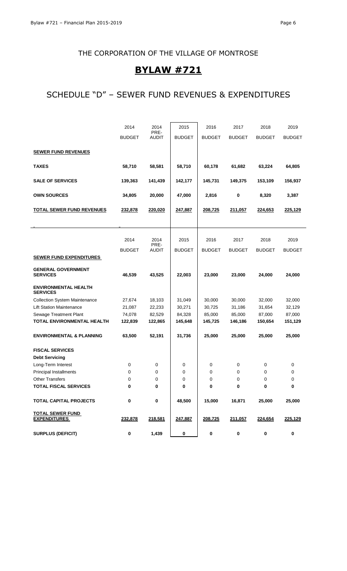# **BYLAW #721**

## SCHEDULE "D" – SEWER FUND REVENUES & EXPENDITURES

|                                                | 2014          | 2014                 | 2015          | 2016          | 2017          | 2018          | 2019          |
|------------------------------------------------|---------------|----------------------|---------------|---------------|---------------|---------------|---------------|
|                                                | <b>BUDGET</b> | PRE-<br><b>AUDIT</b> | <b>BUDGET</b> | <b>BUDGET</b> | <b>BUDGET</b> | <b>BUDGET</b> | <b>BUDGET</b> |
|                                                |               |                      |               |               |               |               |               |
| <b>SEWER FUND REVENUES</b>                     |               |                      |               |               |               |               |               |
| <b>TAXES</b>                                   | 58,710        | 58,581               | 58,710        | 60,178        | 61,682        | 63,224        | 64,805        |
| <b>SALE OF SERVICES</b>                        | 139,363       | 141,439              | 142,177       | 145,731       | 149,375       | 153,109       | 156,937       |
| <b>OWN SOURCES</b>                             | 34,805        | 20,000               | 47,000        | 2,816         | $\bf{0}$      | 8,320         | 3,387         |
| <b>TOTAL SEWER FUND REVENUES</b>               | 232,878       | 220,020              | 247,887       | 208,725       | 211,057       | 224,653       | 225,129       |
|                                                |               |                      |               |               |               |               |               |
|                                                |               |                      |               |               |               |               |               |
|                                                | 2014          | 2014<br>PRE-         | 2015          | 2016          | 2017          | 2018          | 2019          |
|                                                | <b>BUDGET</b> | <b>AUDIT</b>         | <b>BUDGET</b> | <b>BUDGET</b> | <b>BUDGET</b> | <b>BUDGET</b> | <b>BUDGET</b> |
| <b>SEWER FUND EXPENDITURES</b>                 |               |                      |               |               |               |               |               |
| <b>GENERAL GOVERNMENT</b><br><b>SERVICES</b>   | 46,539        | 43,525               | 22,003        | 23,000        | 23,000        | 24,000        | 24,000        |
| <b>ENVIRONMENTAL HEALTH</b><br><b>SERVICES</b> |               |                      |               |               |               |               |               |
| <b>Collection System Maintenance</b>           | 27,674        | 18,103               | 31,049        | 30,000        | 30,000        | 32,000        | 32,000        |
| <b>Lift Station Maintenance</b>                | 21,087        | 22,233               | 30,271        | 30,725        | 31,186        | 31,654        | 32,129        |
| Sewage Treatment Plant                         | 74,078        | 82,529               | 84,328        | 85,000        | 85,000        | 87,000        | 87,000        |
| TOTAL ENVIRONMENTAL HEALTH                     | 122,839       | 122,865              | 145,648       | 145,725       | 146,186       | 150,654       | 151,129       |
| <b>ENVIRONMENTAL &amp; PLANNING</b>            | 63,500        | 52,191               | 31,736        | 25,000        | 25,000        | 25,000        | 25,000        |
| <b>FISCAL SERVICES</b>                         |               |                      |               |               |               |               |               |
| <b>Debt Servicing</b>                          |               |                      |               |               |               |               |               |
| Long-Term Interest                             | 0             | 0                    | 0             | 0             | 0             | 0             | 0             |
| <b>Principal Installments</b>                  | 0             | 0                    | 0             | $\mathbf 0$   | 0             | 0             | 0             |
| <b>Other Transfers</b>                         | 0             | 0                    | 0             | 0             | 0             | 0             | 0             |
| <b>TOTAL FISCAL SERVICES</b>                   | 0             | 0                    | 0             | 0             | $\bf{0}$      | 0             | 0             |
| <b>TOTAL CAPITAL PROJECTS</b>                  | 0             | 0                    | 48,500        | 15,000        | 16,871        | 25,000        | 25,000        |
| <b>TOTAL SEWER FUND</b><br><b>EXPENDITURES</b> | 232,878       | 218,581              | 247,887       | 208,725       | 211,057       | 224,654       | 225,129       |
| <b>SURPLUS (DEFICIT)</b>                       | 0             | 1,439                | 0             | 0             | $\bf{0}$      | $\mathbf 0$   | 0             |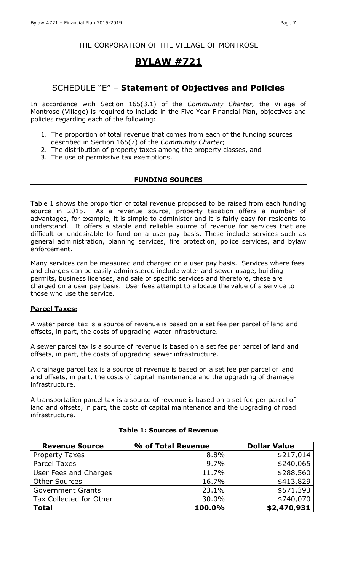### **BYLAW #721**

### SCHEDULE "E" – **Statement of Objectives and Policies**

In accordance with Section 165(3.1) of the *Community Charter,* the Village of Montrose (Village) is required to include in the Five Year Financial Plan, objectives and policies regarding each of the following:

- 1. The proportion of total revenue that comes from each of the funding sources described in Section 165(7) of the *Community Charter*;
- 2. The distribution of property taxes among the property classes, and
- 3. The use of permissive tax exemptions.

#### **FUNDING SOURCES**

Table 1 shows the proportion of total revenue proposed to be raised from each funding source in 2015. As a revenue source, property taxation offers a number of advantages, for example, it is simple to administer and it is fairly easy for residents to understand. It offers a stable and reliable source of revenue for services that are difficult or undesirable to fund on a user-pay basis. These include services such as general administration, planning services, fire protection, police services, and bylaw enforcement.

Many services can be measured and charged on a user pay basis. Services where fees and charges can be easily administered include water and sewer usage, building permits, business licenses, and sale of specific services and therefore, these are charged on a user pay basis. User fees attempt to allocate the value of a service to those who use the service.

#### **Parcel Taxes:**

A water parcel tax is a source of revenue is based on a set fee per parcel of land and offsets, in part, the costs of upgrading water infrastructure.

A sewer parcel tax is a source of revenue is based on a set fee per parcel of land and offsets, in part, the costs of upgrading sewer infrastructure.

A drainage parcel tax is a source of revenue is based on a set fee per parcel of land and offsets, in part, the costs of capital maintenance and the upgrading of drainage infrastructure.

A transportation parcel tax is a source of revenue is based on a set fee per parcel of land and offsets, in part, the costs of capital maintenance and the upgrading of road infrastructure.

| <b>Revenue Source</b>    | % of Total Revenue | <b>Dollar Value</b> |
|--------------------------|--------------------|---------------------|
| <b>Property Taxes</b>    | 8.8%               | \$217,014           |
| <b>Parcel Taxes</b>      | 9.7%               | \$240,065           |
| User Fees and Charges    | 11.7%              | \$288,560           |
| <b>Other Sources</b>     | 16.7%              | \$413,829           |
| <b>Government Grants</b> | 23.1%              | \$571,393           |
| Tax Collected for Other  | 30.0%              | \$740,070           |
| <b>Total</b>             | 100.0%             | \$2,470,931         |

#### **Table 1: Sources of Revenue**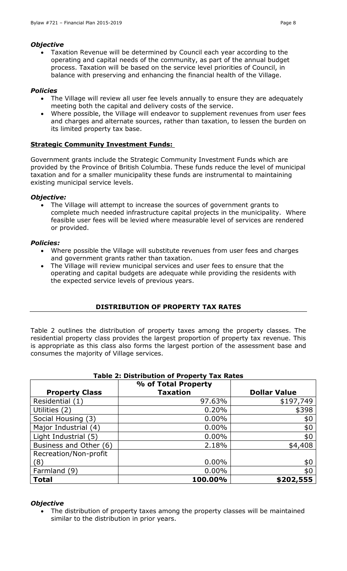### *Objective*

 Taxation Revenue will be determined by Council each year according to the operating and capital needs of the community, as part of the annual budget process. Taxation will be based on the service level priorities of Council, in balance with preserving and enhancing the financial health of the Village.

### *Policies*

- The Village will review all user fee levels annually to ensure they are adequately meeting both the capital and delivery costs of the service.
- Where possible, the Village will endeavor to supplement revenues from user fees and charges and alternate sources, rather than taxation, to lessen the burden on its limited property tax base.

### **Strategic Community Investment Funds:**

Government grants include the Strategic Community Investment Funds which are provided by the Province of British Columbia. These funds reduce the level of municipal taxation and for a smaller municipality these funds are instrumental to maintaining existing municipal service levels.

### *Objective:*

 The Village will attempt to increase the sources of government grants to complete much needed infrastructure capital projects in the municipality. Where feasible user fees will be levied where measurable level of services are rendered or provided.

### *Policies:*

- Where possible the Village will substitute revenues from user fees and charges and government grants rather than taxation.
- The Village will review municipal services and user fees to ensure that the operating and capital budgets are adequate while providing the residents with the expected service levels of previous years.

### **DISTRIBUTION OF PROPERTY TAX RATES**

Table 2 outlines the distribution of property taxes among the property classes. The residential property class provides the largest proportion of property tax revenue. This is appropriate as this class also forms the largest portion of the assessment base and consumes the majority of Village services.

| rable 2: Distribution of Property Tax Rates |                     |                     |  |  |  |  |
|---------------------------------------------|---------------------|---------------------|--|--|--|--|
|                                             | % of Total Property |                     |  |  |  |  |
| <b>Property Class</b>                       | <b>Taxation</b>     | <b>Dollar Value</b> |  |  |  |  |
| Residential (1)                             | 97.63%              | \$197,749           |  |  |  |  |
| Utilities (2)                               | 0.20%               | \$398               |  |  |  |  |
| Social Housing (3)                          | $0.00\%$            | \$0                 |  |  |  |  |
| Major Industrial (4)                        | $0.00\%$            | \$0                 |  |  |  |  |
| Light Industrial (5)                        | $0.00\%$            | \$0                 |  |  |  |  |
| Business and Other (6)                      | 2.18%               | \$4,408             |  |  |  |  |
| Recreation/Non-profit                       |                     |                     |  |  |  |  |
| (8)                                         | $0.00\%$            | \$0                 |  |  |  |  |
| Farmland (9)                                | $0.00\%$            | \$0                 |  |  |  |  |
| <b>Total</b>                                | 100.00%             | \$202,555           |  |  |  |  |

### **Table 2: Distribution of Property Tax Rates**

#### *Objective*

 The distribution of property taxes among the property classes will be maintained similar to the distribution in prior years.